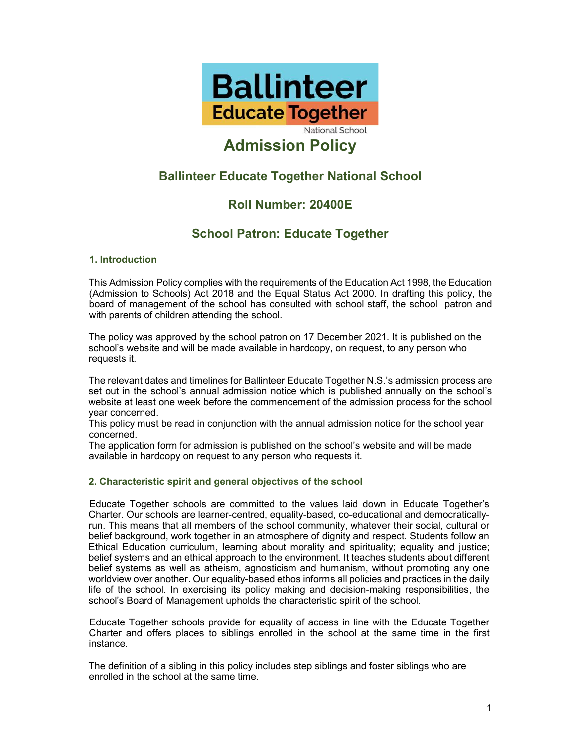

# Admission Policy

# Ballinteer Educate Together National School

# Roll Number: 20400E

# School Patron: Educate Together

# 1. Introduction

This Admission Policy complies with the requirements of the Education Act 1998, the Education (Admission to Schools) Act 2018 and the Equal Status Act 2000. In drafting this policy, the board of management of the school has consulted with school staff, the school patron and with parents of children attending the school.

The policy was approved by the school patron on 17 December 2021. It is published on the school's website and will be made available in hardcopy, on request, to any person who requests it.

The relevant dates and timelines for Ballinteer Educate Together N.S.'s admission process are set out in the school's annual admission notice which is published annually on the school's website at least one week before the commencement of the admission process for the school year concerned.

This policy must be read in conjunction with the annual admission notice for the school year concerned.

The application form for admission is published on the school's website and will be made available in hardcopy on request to any person who requests it.

# 2. Characteristic spirit and general objectives of the school

Educate Together schools are committed to the values laid down in Educate Together's Charter. Our schools are learner-centred, equality-based, co-educational and democraticallyrun. This means that all members of the school community, whatever their social, cultural or belief background, work together in an atmosphere of dignity and respect. Students follow an Ethical Education curriculum, learning about morality and spirituality; equality and justice; belief systems and an ethical approach to the environment. It teaches students about different belief systems as well as atheism, agnosticism and humanism, without promoting any one worldview over another. Our equality-based ethos informs all policies and practices in the daily life of the school. In exercising its policy making and decision-making responsibilities, the school's Board of Management upholds the characteristic spirit of the school.

Educate Together schools provide for equality of access in line with the Educate Together Charter and offers places to siblings enrolled in the school at the same time in the first instance.

The definition of a sibling in this policy includes step siblings and foster siblings who are enrolled in the school at the same time.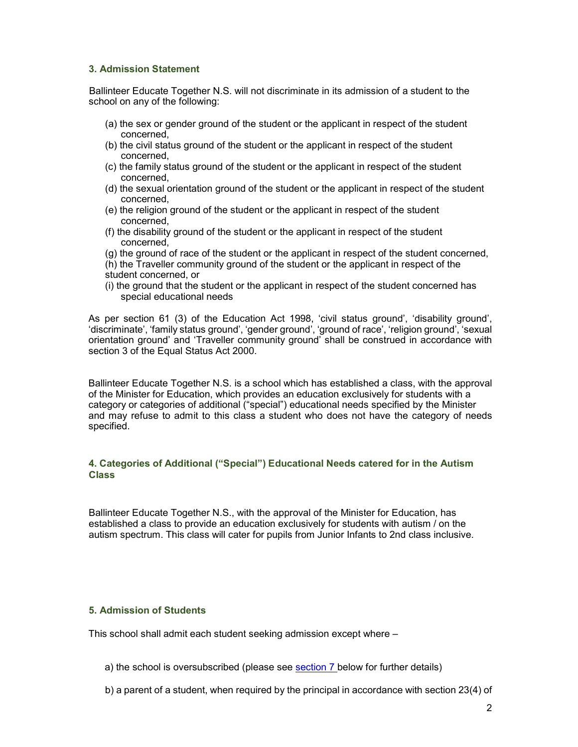#### 3. Admission Statement

Ballinteer Educate Together N.S. will not discriminate in its admission of a student to the school on any of the following:

- (a) the sex or gender ground of the student or the applicant in respect of the student concerned,
- (b) the civil status ground of the student or the applicant in respect of the student concerned,
- (c) the family status ground of the student or the applicant in respect of the student concerned,
- (d) the sexual orientation ground of the student or the applicant in respect of the student concerned,
- (e) the religion ground of the student or the applicant in respect of the student concerned,
- (f) the disability ground of the student or the applicant in respect of the student concerned,
- (g) the ground of race of the student or the applicant in respect of the student concerned,
- (h) the Traveller community ground of the student or the applicant in respect of the student concerned, or
- (i) the ground that the student or the applicant in respect of the student concerned has special educational needs

As per section 61 (3) of the Education Act 1998, 'civil status ground', 'disability ground', 'discriminate', 'family status ground', 'gender ground', 'ground of race', 'religion ground', 'sexual orientation ground' and 'Traveller community ground' shall be construed in accordance with section 3 of the Equal Status Act 2000.

Ballinteer Educate Together N.S. is a school which has established a class, with the approval of the Minister for Education, which provides an education exclusively for students with a category or categories of additional ("special") educational needs specified by the Minister and may refuse to admit to this class a student who does not have the category of needs specified.

# 4. Categories of Additional ("Special") Educational Needs catered for in the Autism Class

Ballinteer Educate Together N.S., with the approval of the Minister for Education, has established a class to provide an education exclusively for students with autism / on the autism spectrum. This class will cater for pupils from Junior Infants to 2nd class inclusive.

# 5. Admission of Students

This school shall admit each student seeking admission except where –

- a) the school is oversubscribed (please see section 7 below for further details)
- b) a parent of a student, when required by the principal in accordance with section 23(4) of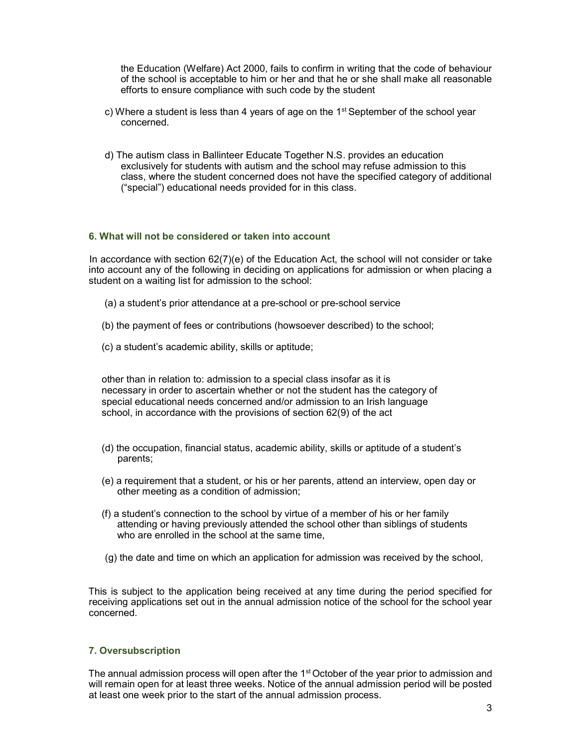the Education (Welfare) Act 2000, fails to confirm in writing that the code of behaviour of the school is acceptable to him or her and that he or she shall make all reasonable efforts to ensure compliance with such code by the student

- c) Where a student is less than 4 years of age on the  $1<sup>st</sup>$  September of the school year concerned.
- d) The autism class in Ballinteer Educate Together N.S. provides an education exclusively for students with autism and the school may refuse admission to this class, where the student concerned does not have the specified category of additional ("special") educational needs provided for in this class.

#### 6. What will not be considered or taken into account

In accordance with section 62(7)(e) of the Education Act, the school will not consider or take into account any of the following in deciding on applications for admission or when placing a student on a waiting list for admission to the school:

- (a) a student's prior attendance at a pre-school or pre-school service
- (b) the payment of fees or contributions (howsoever described) to the school;
- (c) a student's academic ability, skills or aptitude;

other than in relation to: admission to a special class insofar as it is necessary in order to ascertain whether or not the student has the category of special educational needs concerned and/or admission to an Irish language school, in accordance with the provisions of section 62(9) of the act

- (d) the occupation, financial status, academic ability, skills or aptitude of a student's parents;
- (e) a requirement that a student, or his or her parents, attend an interview, open day or other meeting as a condition of admission;
- (f) a student's connection to the school by virtue of a member of his or her family attending or having previously attended the school other than siblings of students who are enrolled in the school at the same time,
- (g) the date and time on which an application for admission was received by the school,

This is subject to the application being received at any time during the period specified for receiving applications set out in the annual admission notice of the school for the school year concerned.

#### 7. Oversubscription

The annual admission process will open after the  $1<sup>st</sup>$  October of the year prior to admission and will remain open for at least three weeks. Notice of the annual admission period will be posted at least one week prior to the start of the annual admission process.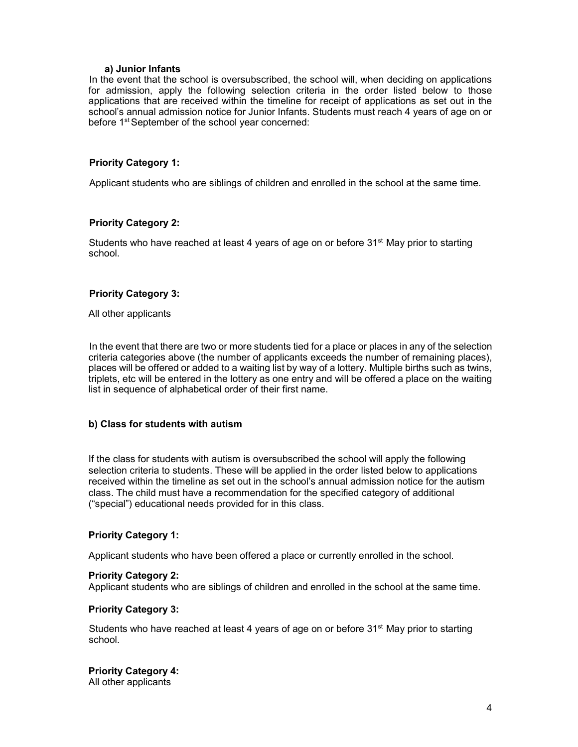#### a) Junior Infants

In the event that the school is oversubscribed, the school will, when deciding on applications for admission, apply the following selection criteria in the order listed below to those applications that are received within the timeline for receipt of applications as set out in the school's annual admission notice for Junior Infants. Students must reach 4 years of age on or before 1<sup>st</sup> September of the school year concerned:

#### Priority Category 1:

Applicant students who are siblings of children and enrolled in the school at the same time.

#### Priority Category 2:

Students who have reached at least 4 years of age on or before  $31<sup>st</sup>$  May prior to starting school.

#### Priority Category 3:

All other applicants

In the event that there are two or more students tied for a place or places in any of the selection criteria categories above (the number of applicants exceeds the number of remaining places), places will be offered or added to a waiting list by way of a lottery. Multiple births such as twins, triplets, etc will be entered in the lottery as one entry and will be offered a place on the waiting list in sequence of alphabetical order of their first name.

#### b) Class for students with autism

If the class for students with autism is oversubscribed the school will apply the following selection criteria to students. These will be applied in the order listed below to applications received within the timeline as set out in the school's annual admission notice for the autism class. The child must have a recommendation for the specified category of additional ("special") educational needs provided for in this class.

#### Priority Category 1:

Applicant students who have been offered a place or currently enrolled in the school.

#### Priority Category 2:

Applicant students who are siblings of children and enrolled in the school at the same time.

#### Priority Category 3:

Students who have reached at least 4 years of age on or before  $31<sup>st</sup>$  May prior to starting school.

# Priority Category 4:

All other applicants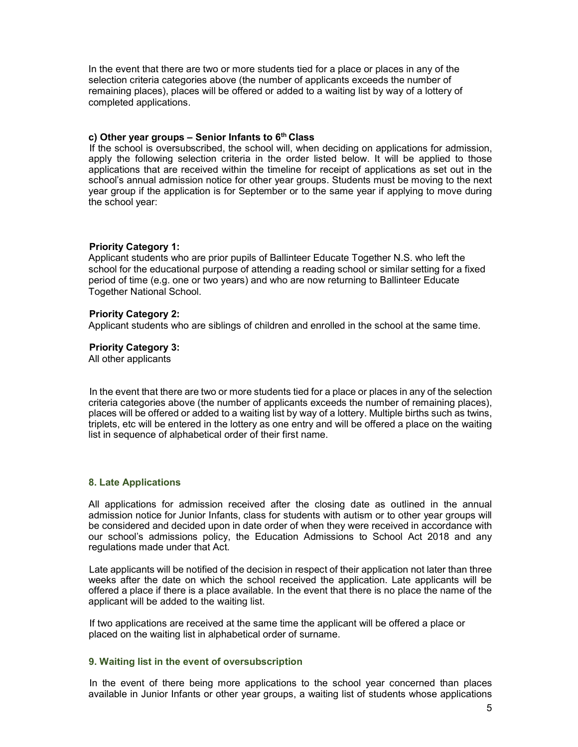In the event that there are two or more students tied for a place or places in any of the selection criteria categories above (the number of applicants exceeds the number of remaining places), places will be offered or added to a waiting list by way of a lottery of completed applications.

#### c) Other year groups  $-$  Senior Infants to  $6<sup>th</sup>$  Class

If the school is oversubscribed, the school will, when deciding on applications for admission, apply the following selection criteria in the order listed below. It will be applied to those applications that are received within the timeline for receipt of applications as set out in the school's annual admission notice for other year groups. Students must be moving to the next year group if the application is for September or to the same year if applying to move during the school year:

#### Priority Category 1:

Applicant students who are prior pupils of Ballinteer Educate Together N.S. who left the school for the educational purpose of attending a reading school or similar setting for a fixed period of time (e.g. one or two years) and who are now returning to Ballinteer Educate Together National School.

#### Priority Category 2:

Applicant students who are siblings of children and enrolled in the school at the same time.

#### Priority Category 3:

All other applicants

In the event that there are two or more students tied for a place or places in any of the selection criteria categories above (the number of applicants exceeds the number of remaining places), places will be offered or added to a waiting list by way of a lottery. Multiple births such as twins, triplets, etc will be entered in the lottery as one entry and will be offered a place on the waiting list in sequence of alphabetical order of their first name.

#### 8. Late Applications

All applications for admission received after the closing date as outlined in the annual admission notice for Junior Infants, class for students with autism or to other year groups will be considered and decided upon in date order of when they were received in accordance with our school's admissions policy, the Education Admissions to School Act 2018 and any regulations made under that Act.

Late applicants will be notified of the decision in respect of their application not later than three weeks after the date on which the school received the application. Late applicants will be offered a place if there is a place available. In the event that there is no place the name of the applicant will be added to the waiting list.

If two applications are received at the same time the applicant will be offered a place or placed on the waiting list in alphabetical order of surname.

#### 9. Waiting list in the event of oversubscription

In the event of there being more applications to the school year concerned than places available in Junior Infants or other year groups, a waiting list of students whose applications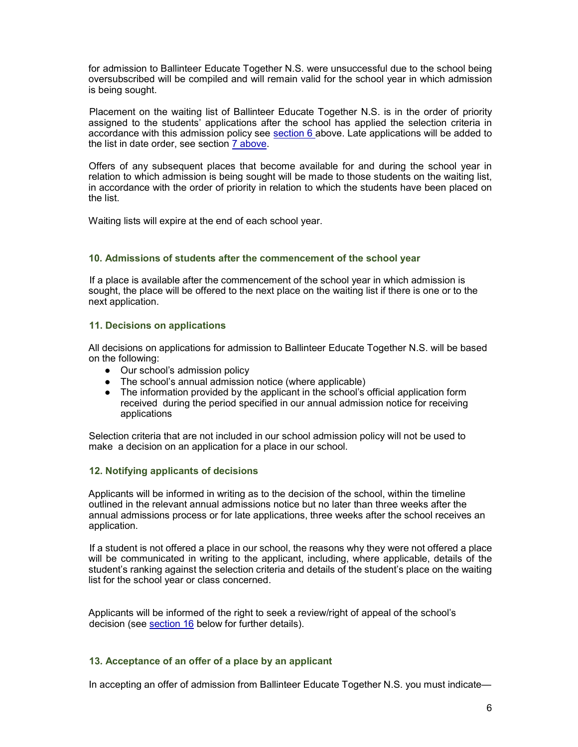for admission to Ballinteer Educate Together N.S. were unsuccessful due to the school being oversubscribed will be compiled and will remain valid for the school year in which admission is being sought.

Placement on the waiting list of Ballinteer Educate Together N.S. is in the order of priority assigned to the students' applications after the school has applied the selection criteria in accordance with this admission policy see section 6 above. Late applications will be added to the list in date order, see section 7 above.

Offers of any subsequent places that become available for and during the school year in relation to which admission is being sought will be made to those students on the waiting list, in accordance with the order of priority in relation to which the students have been placed on the list.

Waiting lists will expire at the end of each school year.

#### 10. Admissions of students after the commencement of the school year

If a place is available after the commencement of the school year in which admission is sought, the place will be offered to the next place on the waiting list if there is one or to the next application.

#### 11. Decisions on applications

All decisions on applications for admission to Ballinteer Educate Together N.S. will be based on the following:

- Our school's admission policy
- The school's annual admission notice (where applicable)
- The information provided by the applicant in the school's official application form received during the period specified in our annual admission notice for receiving applications

Selection criteria that are not included in our school admission policy will not be used to make a decision on an application for a place in our school.

#### 12. Notifying applicants of decisions

Applicants will be informed in writing as to the decision of the school, within the timeline outlined in the relevant annual admissions notice but no later than three weeks after the annual admissions process or for late applications, three weeks after the school receives an application.

If a student is not offered a place in our school, the reasons why they were not offered a place will be communicated in writing to the applicant, including, where applicable, details of the student's ranking against the selection criteria and details of the student's place on the waiting list for the school year or class concerned.

Applicants will be informed of the right to seek a review/right of appeal of the school's decision (see section 16 below for further details).

# 13. Acceptance of an offer of a place by an applicant

In accepting an offer of admission from Ballinteer Educate Together N.S. you must indicate—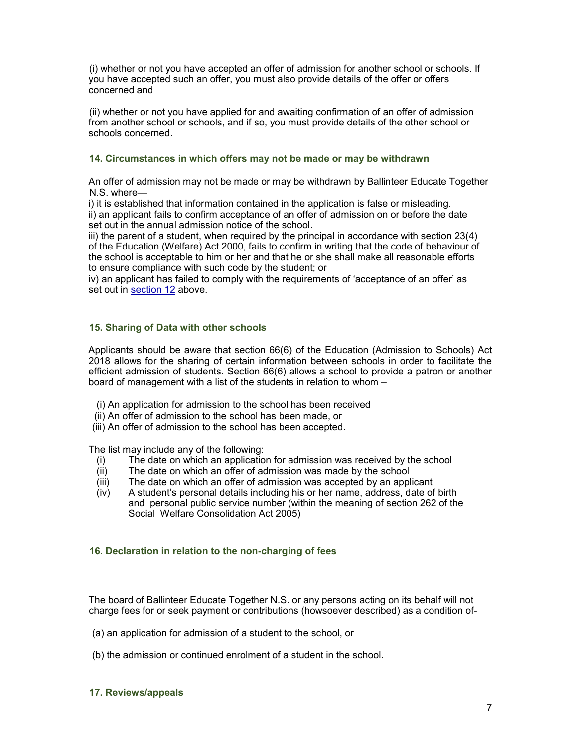(i) whether or not you have accepted an offer of admission for another school or schools. If you have accepted such an offer, you must also provide details of the offer or offers concerned and

(ii) whether or not you have applied for and awaiting confirmation of an offer of admission from another school or schools, and if so, you must provide details of the other school or schools concerned.

# 14. Circumstances in which offers may not be made or may be withdrawn

An offer of admission may not be made or may be withdrawn by Ballinteer Educate Together N.S. where—

i) it is established that information contained in the application is false or misleading. ii) an applicant fails to confirm acceptance of an offer of admission on or before the date set out in the annual admission notice of the school.

iii) the parent of a student, when required by the principal in accordance with section 23(4) of the Education (Welfare) Act 2000, fails to confirm in writing that the code of behaviour of the school is acceptable to him or her and that he or she shall make all reasonable efforts to ensure compliance with such code by the student; or

iv) an applicant has failed to comply with the requirements of 'acceptance of an offer' as set out in section 12 above.

# 15. Sharing of Data with other schools

Applicants should be aware that section 66(6) of the Education (Admission to Schools) Act 2018 allows for the sharing of certain information between schools in order to facilitate the efficient admission of students. Section 66(6) allows a school to provide a patron or another board of management with a list of the students in relation to whom –

- (i) An application for admission to the school has been received
- (ii) An offer of admission to the school has been made, or
- (iii) An offer of admission to the school has been accepted.

The list may include any of the following:

- (i) The date on which an application for admission was received by the school
- $(iii)$  The date on which an offer of admission was made by the school  $(iii)$  The date on which an offer of admission was accepted by an appl
- The date on which an offer of admission was accepted by an applicant
- (iv) A student's personal details including his or her name, address, date of birth and personal public service number (within the meaning of section 262 of the Social Welfare Consolidation Act 2005)

# 16. Declaration in relation to the non-charging of fees

The board of Ballinteer Educate Together N.S. or any persons acting on its behalf will not charge fees for or seek payment or contributions (howsoever described) as a condition of-

- (a) an application for admission of a student to the school, or
- (b) the admission or continued enrolment of a student in the school.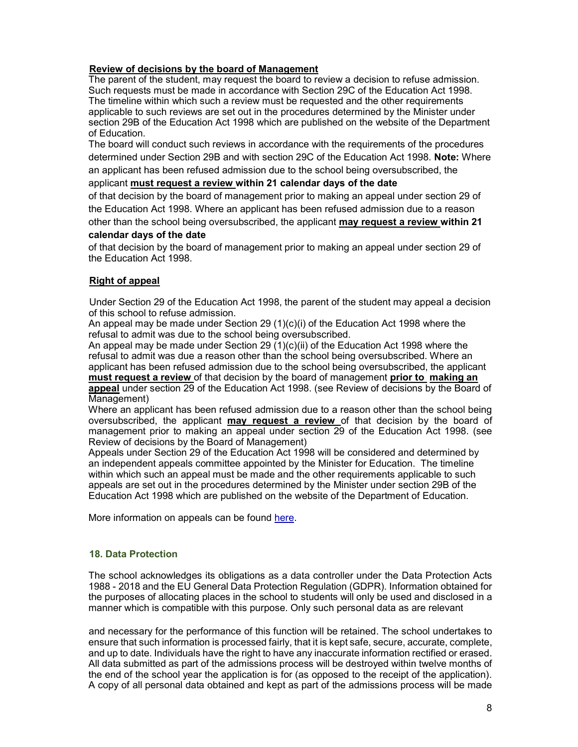# Review of decisions by the board of Management

The parent of the student, may request the board to review a decision to refuse admission. Such requests must be made in accordance with Section 29C of the Education Act 1998. The timeline within which such a review must be requested and the other requirements applicable to such reviews are set out in the procedures determined by the Minister under section 29B of the Education Act 1998 which are published on the website of the Department of Education.

The board will conduct such reviews in accordance with the requirements of the procedures determined under Section 29B and with section 29C of the Education Act 1998. Note: Where an applicant has been refused admission due to the school being oversubscribed, the

#### applicant must request a review within 21 calendar days of the date

of that decision by the board of management prior to making an appeal under section 29 of the Education Act 1998. Where an applicant has been refused admission due to a reason other than the school being oversubscribed, the applicant may request a review within 21

#### calendar days of the date

of that decision by the board of management prior to making an appeal under section 29 of the Education Act 1998.

# Right of appeal

Under Section 29 of the Education Act 1998, the parent of the student may appeal a decision of this school to refuse admission.

An appeal may be made under Section 29 (1)(c)(i) of the Education Act 1998 where the refusal to admit was due to the school being oversubscribed.

An appeal may be made under Section 29  $(1)(c)(ii)$  of the Education Act 1998 where the refusal to admit was due a reason other than the school being oversubscribed. Where an applicant has been refused admission due to the school being oversubscribed, the applicant must request a review of that decision by the board of management prior to making an appeal under section 29 of the Education Act 1998. (see Review of decisions by the Board of Management)

Where an applicant has been refused admission due to a reason other than the school being oversubscribed, the applicant may request a review of that decision by the board of management prior to making an appeal under section 29 of the Education Act 1998. (see Review of decisions by the Board of Management)

Appeals under Section 29 of the Education Act 1998 will be considered and determined by an independent appeals committee appointed by the Minister for Education. The timeline within which such an appeal must be made and the other requirements applicable to such appeals are set out in the procedures determined by the Minister under section 29B of the Education Act 1998 which are published on the website of the Department of Education.

More information on appeals can be found here.

# 18. Data Protection

The school acknowledges its obligations as a data controller under the Data Protection Acts 1988 - 2018 and the EU General Data Protection Regulation (GDPR). Information obtained for the purposes of allocating places in the school to students will only be used and disclosed in a manner which is compatible with this purpose. Only such personal data as are relevant

and necessary for the performance of this function will be retained. The school undertakes to ensure that such information is processed fairly, that it is kept safe, secure, accurate, complete, and up to date. Individuals have the right to have any inaccurate information rectified or erased. All data submitted as part of the admissions process will be destroyed within twelve months of the end of the school year the application is for (as opposed to the receipt of the application). A copy of all personal data obtained and kept as part of the admissions process will be made